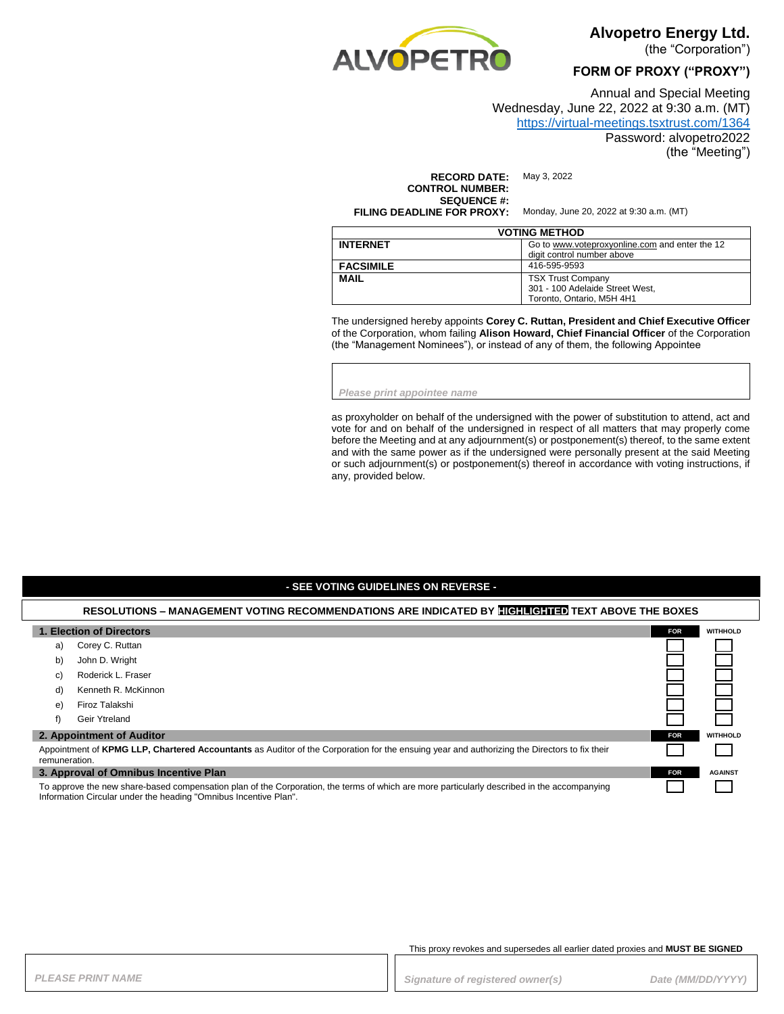

**Alvopetro Energy Ltd.** 

(the "Corporation")

**FORM OF PROXY ("PROXY")**

Annual and Special Meeting Wednesday, June 22, 2022 at 9:30 a.m. (MT)

# <https://virtual-meetings.tsxtrust.com/1364>

Password: alvopetro2022

(the "Meeting")

**RECORD DATE:** May 3, 2022 **CONTROL NUMBER: SEQUENCE #: FILING DEADLINE FOR PROXY:** Monday, June 20, 2022 at 9:30 a.m. (MT)

| <b>VOTING METHOD</b> |                                                                                          |  |
|----------------------|------------------------------------------------------------------------------------------|--|
| <b>INTERNET</b>      | Go to www.voteproxyonline.com and enter the 12<br>digit control number above             |  |
| <b>FACSIMILE</b>     | 416-595-9593                                                                             |  |
| <b>MAIL</b>          | <b>TSX Trust Company</b><br>301 - 100 Adelaide Street West,<br>Toronto, Ontario, M5H 4H1 |  |

The undersigned hereby appoints **Corey C. Ruttan, President and Chief Executive Officer** of the Corporation, whom failing **Alison Howard, Chief Financial Officer** of the Corporation (the "Management Nominees"), or instead of any of them, the following Appointee

*Please print appointee name*

as proxyholder on behalf of the undersigned with the power of substitution to attend, act and vote for and on behalf of the undersigned in respect of all matters that may properly come before the Meeting and at any adjournment(s) or postponement(s) thereof, to the same extent and with the same power as if the undersigned were personally present at the said Meeting or such adjournment(s) or postponement(s) thereof in accordance with voting instructions, if any, provided below.

#### **- SEE VOTING GUIDELINES ON REVERSE -**

#### **RESOLUTIONS – MANAGEMENT VOTING RECOMMENDATIONS ARE INDICATED BY HIGHLIGHTED TEXT ABOVE THE BOXES**

| 1. Election of Directors                                                                                                                                                                                        |                     | <b>FOR</b> | <b>WITHHOLD</b> |
|-----------------------------------------------------------------------------------------------------------------------------------------------------------------------------------------------------------------|---------------------|------------|-----------------|
| a)                                                                                                                                                                                                              | Corey C. Ruttan     |            |                 |
| b)                                                                                                                                                                                                              | John D. Wright      |            |                 |
| C)                                                                                                                                                                                                              | Roderick L. Fraser  |            |                 |
| d)                                                                                                                                                                                                              | Kenneth R. McKinnon |            |                 |
| e)                                                                                                                                                                                                              | Firoz Talakshi      |            |                 |
| f)                                                                                                                                                                                                              | Geir Ytreland       |            |                 |
| 2. Appointment of Auditor                                                                                                                                                                                       |                     | <b>FOR</b> | <b>WITHHOLD</b> |
| Appointment of KPMG LLP, Chartered Accountants as Auditor of the Corporation for the ensuing year and authorizing the Directors to fix their<br>remuneration.                                                   |                     |            |                 |
| 3. Approval of Omnibus Incentive Plan                                                                                                                                                                           |                     | <b>FOR</b> | <b>AGAINST</b>  |
| To approve the new share-based compensation plan of the Corporation, the terms of which are more particularly described in the accompanying<br>Information Circular under the heading "Omnibus Incentive Plan". |                     |            |                 |

#### This proxy revokes and supersedes all earlier dated proxies and **MUST BE SIGNED**